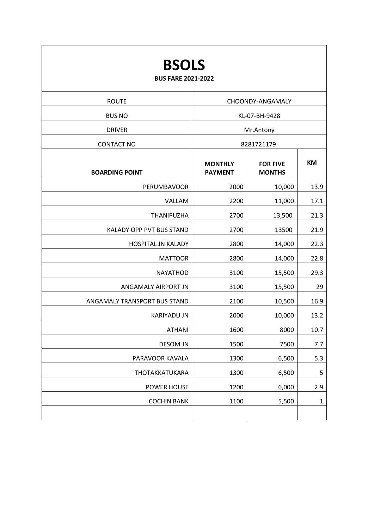| <b>BSOLS</b><br><b>BUS FARE 2021-2022</b> |                                  |                                  |              |  |  |
|-------------------------------------------|----------------------------------|----------------------------------|--------------|--|--|
| <b>ROUTE</b>                              | CHOONDY-ANGAMALY                 |                                  |              |  |  |
| <b>BUS NO</b>                             | KL-07-BH-9428                    |                                  |              |  |  |
| <b>DRIVER</b>                             | Mr.Antony                        |                                  |              |  |  |
| <b>CONTACT NO</b>                         | 8281721179                       |                                  |              |  |  |
| <b>BOARDING POINT</b>                     | <b>MONTHLY</b><br><b>PAYMENT</b> | <b>FOR FIVE</b><br><b>MONTHS</b> | <b>KM</b>    |  |  |
| PERUMBAVOOR                               | 2000                             | 10,000                           | 13.9         |  |  |
| VALLAM                                    | 2200                             | 11,000                           | 17.1         |  |  |
| THANIPUZHA                                | 2700                             | 13,500                           | 21.3         |  |  |
| KALADY OPP PVT BUS STAND                  | 2700                             | 13500                            | 21.9         |  |  |
| HOSPITAL JN KALADY                        | 2800                             | 14,000                           | 22.3         |  |  |
| <b>MATTOOR</b>                            | 2800                             | 14,000                           | 22.8         |  |  |
| <b>NAYATHOD</b>                           | 3100                             | 15,500                           | 29.3         |  |  |
| ANGAMALY AIRPORT JN                       | 3100                             | 15,500                           | 29           |  |  |
| ANGAMALY TRANSPORT BUS STAND              | 2100                             | 10,500                           | 16.9         |  |  |
| <b>KARIYADU JN</b>                        | 2000                             | 10,000                           | 13.2         |  |  |
| <b>ATHANI</b>                             | 1600                             | 8000                             | 10.7         |  |  |
| <b>DESOM JN</b>                           | 1500                             | 7500                             | 7.7          |  |  |
| PARAVOOR KAVALA                           | 1300                             | 6,500                            | 5.3          |  |  |
| THOTAKKATUKARA                            | 1300                             | 6,500                            | 5            |  |  |
| POWER HOUSE                               | 1200                             | 6,000                            | 2.9          |  |  |
| <b>COCHIN BANK</b>                        | 1100                             | 5,500                            | $\mathbf{1}$ |  |  |